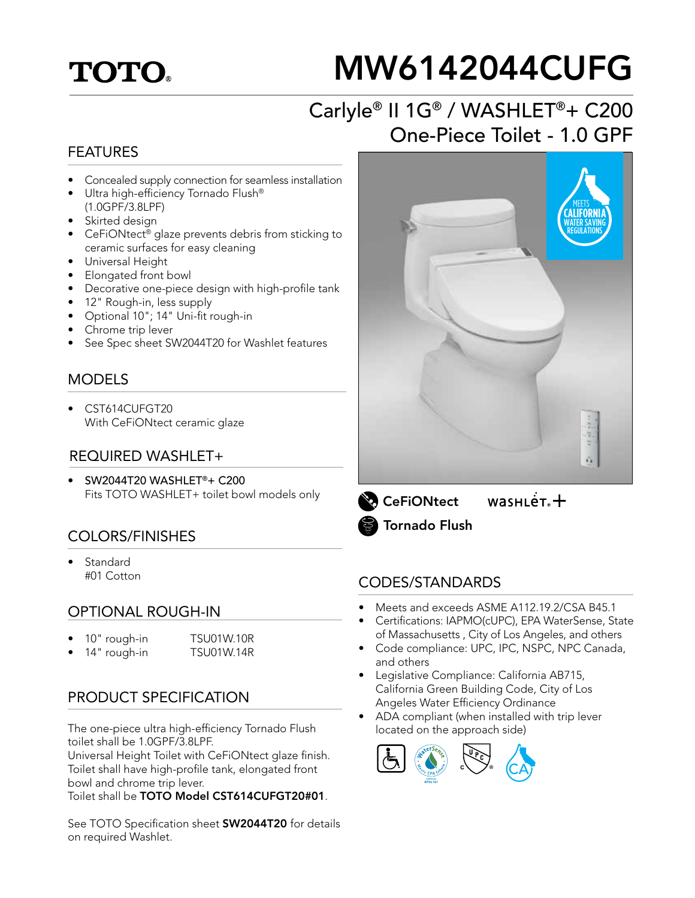## **TOTO**

# MW6142044CUFG

## Carlyle® II 1G® / WASHLET®+ C200 One-Piece Toilet - 1.0 GPF

#### FEATURES

- Concealed supply connection for seamless installation
- Ultra high-efficiency Tornado Flush® (1.0GPF/3.8LPF)
- Skirted design
- CeFiONtect® glaze prevents debris from sticking to ceramic surfaces for easy cleaning
- Universal Height
- Elongated front bowl
- Decorative one-piece design with high-profile tank
- 12" Rough-in, less supply
- Optional 10"; 14" Uni-fit rough-in
- Chrome trip lever
- See Spec sheet SW2044T20 for Washlet features

#### **MODELS**

• CST614CUFGT20 With CeFiONtect ceramic glaze

#### REQUIRED WASHLET+

• SW2044T20 WASHLET®+ C200 Fits TOTO WASHLET+ toilet bowl models only

#### COLORS/FINISHES

**Standard** #01 Cotton

#### OPTIONAL ROUGH-IN

- 10" rough-in TSU01W.10R
	- 14" rough-in TSU01W.14R

#### PRODUCT SPECIFICATION

The one-piece ultra high-efficiency Tornado Flush toilet shall be 1.0GPF/3.8LPF.

Universal Height Toilet with CeFiONtect glaze finish. Toilet shall have high-profile tank, elongated front bowl and chrome trip lever.

Toilet shall be TOTO Model CST614CUFGT20#01.

See TOTO Specification sheet **SW2044T20** for details on required Washlet.



 $wasnLér +$ **CeFiONtect** Tornado Flush

#### CODES/STANDARDS

- Meets and exceeds ASME A112.19.2/CSA B45.1
- Certifications: IAPMO(cUPC), EPA WaterSense, State of Massachusetts , City of Los Angeles, and others
- Code compliance: UPC, IPC, NSPC, NPC Canada, and others
- Legislative Compliance: California AB715, California Green Building Code, City of Los Angeles Water Efficiency Ordinance
- ADA compliant (when installed with trip lever located on the approach side)